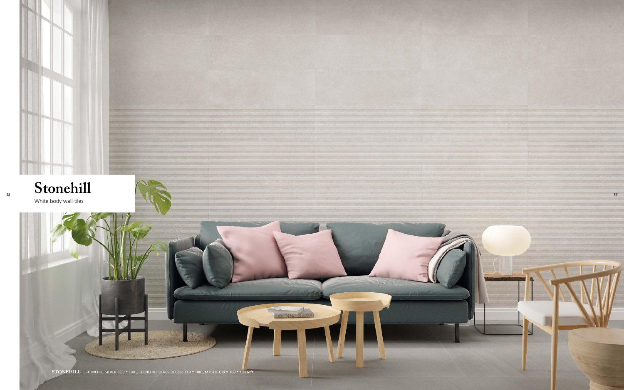